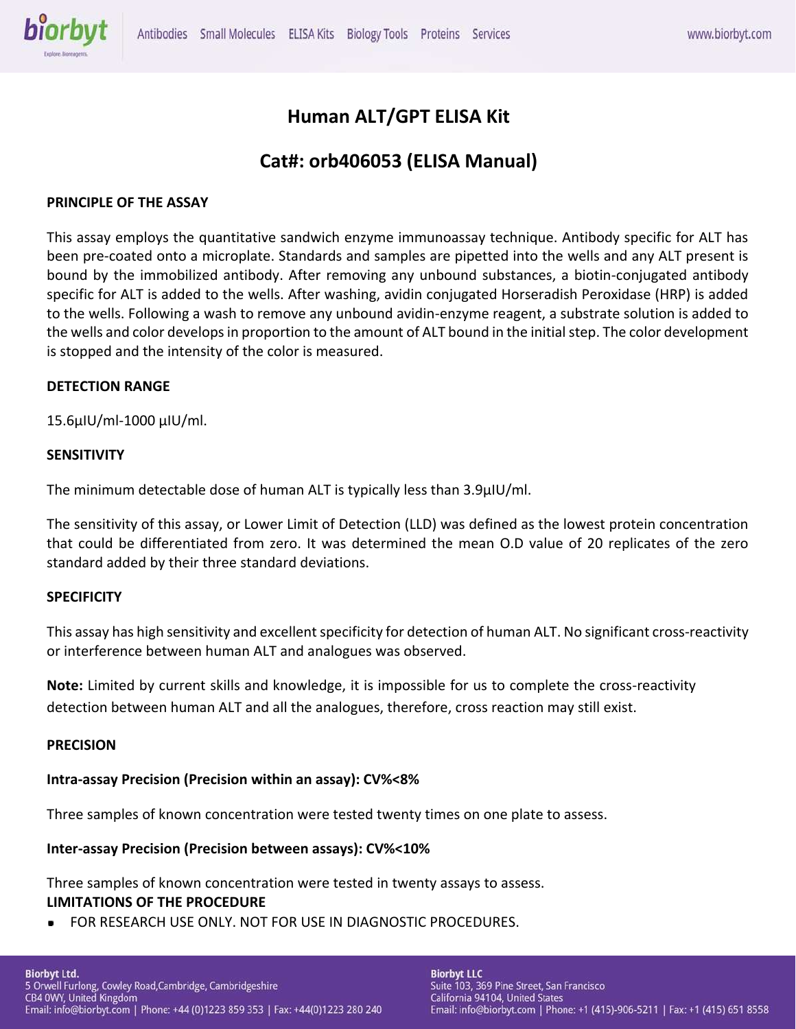

# **Human ALT/GPT ELISA Kit**

# **Cat#: orb406053 (ELISA Manual)**

# **PRINCIPLE OF THE ASSAY**

This assay employs the quantitative sandwich enzyme immunoassay technique. Antibody specific for ALT has been pre-coated onto a microplate. Standards and samples are pipetted into the wells and any ALT present is bound by the immobilized antibody. After removing any unbound substances, a biotin-conjugated antibody specific for ALT is added to the wells. After washing, avidin conjugated Horseradish Peroxidase (HRP) is added to the wells. Following a wash to remove any unbound avidin-enzyme reagent, a substrate solution is added to the wells and color develops in proportion to the amount of ALT bound in the initial step. The color development is stopped and the intensity of the color is measured.

## **DETECTION RANGE**

15.6µIU/ml-1000 µIU/ml.

## **SENSITIVITY**

The minimum detectable dose of human ALT is typically less than 3.9µIU/ml.

The sensitivity of this assay, or Lower Limit of Detection (LLD) was defined as the lowest protein concentration that could be differentiated from zero. It was determined the mean O.D value of 20 replicates of the zero standard added by their three standard deviations.

## **SPECIFICITY**

This assay has high sensitivity and excellent specificity for detection of human ALT. No significant cross-reactivity or interference between human ALT and analogues was observed.

**Note:** Limited by current skills and knowledge, it is impossible for us to complete the cross-reactivity detection between human ALT and all the analogues, therefore, cross reaction may still exist.

## **PRECISION**

## **Intra-assay Precision (Precision within an assay): CV%<8%**

Three samples of known concentration were tested twenty times on one plate to assess.

## **Inter-assay Precision (Precision between assays): CV%<10%**

Three samples of known concentration were tested in twenty assays to assess. **LIMITATIONS OF THE PROCEDURE**

FOR RESEARCH USE ONLY. NOT FOR USE IN DIAGNOSTIC PROCEDURES.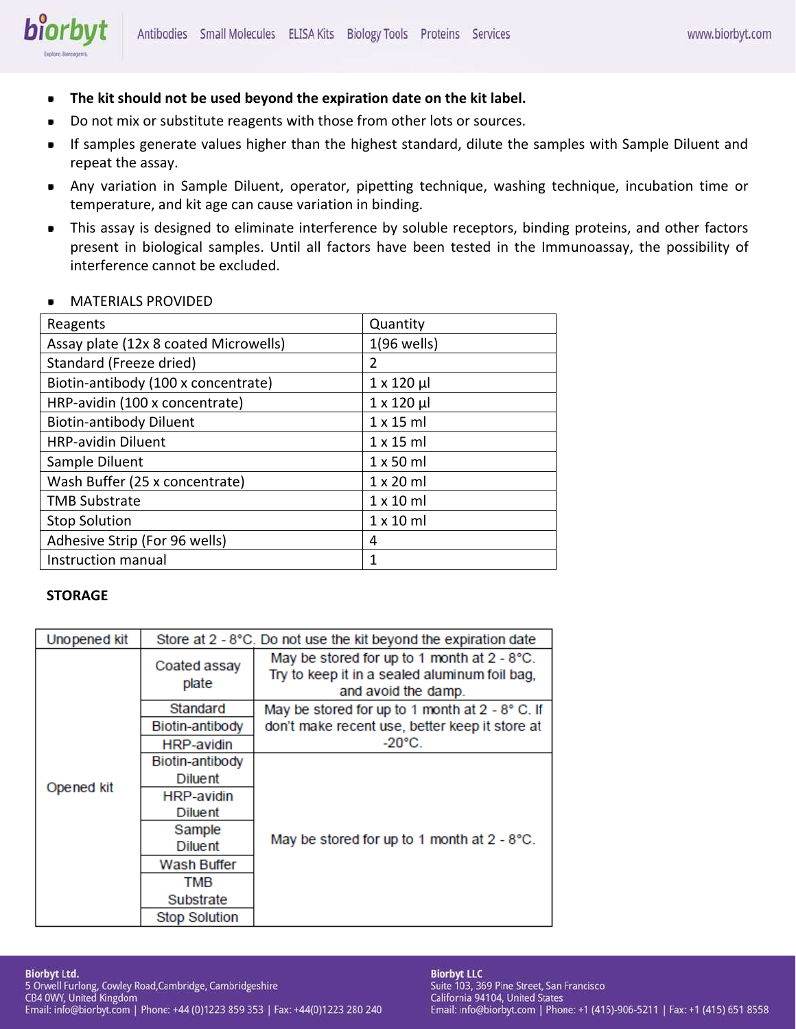- **The kit should not be used beyond the expiration date on the kit label.**  $\blacksquare$
- Do not mix or substitute reagents with those from other lots or sources.
- If samples generate values higher than the highest standard, dilute the samples with Sample Diluent and  $\blacksquare$ repeat the assay.
- Any variation in Sample Diluent, operator, pipetting technique, washing technique, incubation time or  $\bullet$ temperature, and kit age can cause variation in binding.
- This assay is designed to eliminate interference by soluble receptors, binding proteins, and other factors ٠ present in biological samples. Until all factors have been tested in the Immunoassay, the possibility of interference cannot be excluded.

# MATERIALS PROVIDED

biorbyt

| Reagents                              | Quantity           |
|---------------------------------------|--------------------|
| Assay plate (12x 8 coated Microwells) | $1(96$ wells)      |
| Standard (Freeze dried)               | 2                  |
| Biotin-antibody (100 x concentrate)   | $1 \times 120 \mu$ |
| HRP-avidin (100 x concentrate)        | $1 \times 120 \mu$ |
| <b>Biotin-antibody Diluent</b>        | $1 \times 15$ ml   |
| <b>HRP-avidin Diluent</b>             | $1 \times 15$ ml   |
| Sample Diluent                        | $1 \times 50$ ml   |
| Wash Buffer (25 x concentrate)        | $1 \times 20$ ml   |
| <b>TMB Substrate</b>                  | $1 \times 10$ ml   |
| <b>Stop Solution</b>                  | $1 \times 10$ ml   |
| Adhesive Strip (For 96 wells)         | 4                  |
| Instruction manual                    | 1                  |

# **STORAGE**

| Unopened kit | Store at 2 - 8°C. Do not use the kit beyond the expiration date |                                                                                                                     |  |  |  |
|--------------|-----------------------------------------------------------------|---------------------------------------------------------------------------------------------------------------------|--|--|--|
| Opened kit   | Coated assay<br>plate                                           | May be stored for up to 1 month at 2 - 8°C.<br>Try to keep it in a sealed aluminum foil bag,<br>and avoid the damp. |  |  |  |
|              | Standard                                                        | May be stored for up to 1 month at $2 - 8^{\circ}$ C. If                                                            |  |  |  |
|              | Biotin-antibody                                                 | don't make recent use, better keep it store at                                                                      |  |  |  |
|              | <b>HRP-avidin</b>                                               | $-20^{\circ}$ C.                                                                                                    |  |  |  |
|              | Biotin-antibody                                                 |                                                                                                                     |  |  |  |
|              | <b>Diluent</b>                                                  |                                                                                                                     |  |  |  |
|              | <b>HRP-avidin</b>                                               |                                                                                                                     |  |  |  |
|              | <b>Diluent</b>                                                  |                                                                                                                     |  |  |  |
|              | Sample                                                          |                                                                                                                     |  |  |  |
|              | <b>Diluent</b>                                                  | May be stored for up to 1 month at 2 - 8°C.                                                                         |  |  |  |
|              | Wash Buffer                                                     |                                                                                                                     |  |  |  |
|              | TMB                                                             |                                                                                                                     |  |  |  |
|              | Substrate                                                       |                                                                                                                     |  |  |  |
|              | <b>Stop Solution</b>                                            |                                                                                                                     |  |  |  |

#### **Biorbyt Ltd.**

5 Orwell Furlong, Cowley Road, Cambridge, Cambridgeshire<br>CB4 0WY, United Kingdom Email: info@biorbyt.com | Phone: +44 (0)1223 859 353 | Fax: +44(0)1223 280 240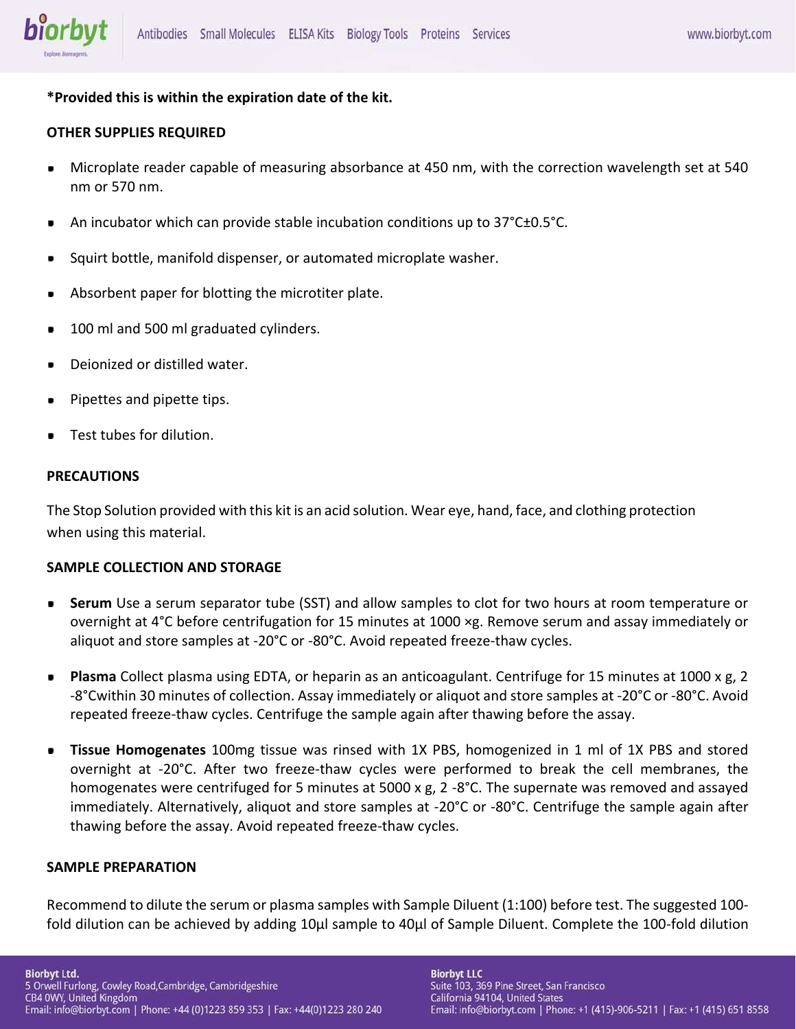

# **\*Provided this is within the expiration date of the kit.**

# **OTHER SUPPLIES REQUIRED**

- Microplate reader capable of measuring absorbance at 450 nm, with the correction wavelength set at 540  $\blacksquare$ nm or 570 nm.
- An incubator which can provide stable incubation conditions up to 37°C±0.5°C.
- Squirt bottle, manifold dispenser, or automated microplate washer.
- Absorbent paper for blotting the microtiter plate.
- 100 ml and 500 ml graduated cylinders.
- Deionized or distilled water.
- Pipettes and pipette tips. ٠
- Test tubes for dilution.

## **PRECAUTIONS**

The Stop Solution provided with this kit is an acid solution. Wear eye, hand, face, and clothing protection when using this material.

# **SAMPLE COLLECTION AND STORAGE**

- **Serum** Use a serum separator tube (SST) and allow samples to clot for two hours at room temperature or  $\blacksquare$ overnight at 4°C before centrifugation for 15 minutes at 1000 ×g. Remove serum and assay immediately or aliquot and store samples at -20°C or -80°C. Avoid repeated freeze-thaw cycles.
- **Plasma** Collect plasma using EDTA, or heparin as an anticoagulant. Centrifuge for 15 minutes at 1000 x g, 2  $\blacksquare$ -8°Cwithin 30 minutes of collection. Assay immediately or aliquot and store samples at -20°C or -80°C. Avoid repeated freeze-thaw cycles. Centrifuge the sample again after thawing before the assay.
- **Tissue Homogenates** 100mg tissue was rinsed with 1X PBS, homogenized in 1 ml of 1X PBS and stored overnight at -20°C. After two freeze-thaw cycles were performed to break the cell membranes, the homogenates were centrifuged for 5 minutes at 5000 x g, 2 -8°C. The supernate was removed and assayed immediately. Alternatively, aliquot and store samples at -20°C or -80°C. Centrifuge the sample again after thawing before the assay. Avoid repeated freeze-thaw cycles.

# **SAMPLE PREPARATION**

Recommend to dilute the serum or plasma samples with Sample Diluent (1:100) before test. The suggested 100 fold dilution can be achieved by adding 10μl sample to 40μl of Sample Diluent. Complete the 100-fold dilution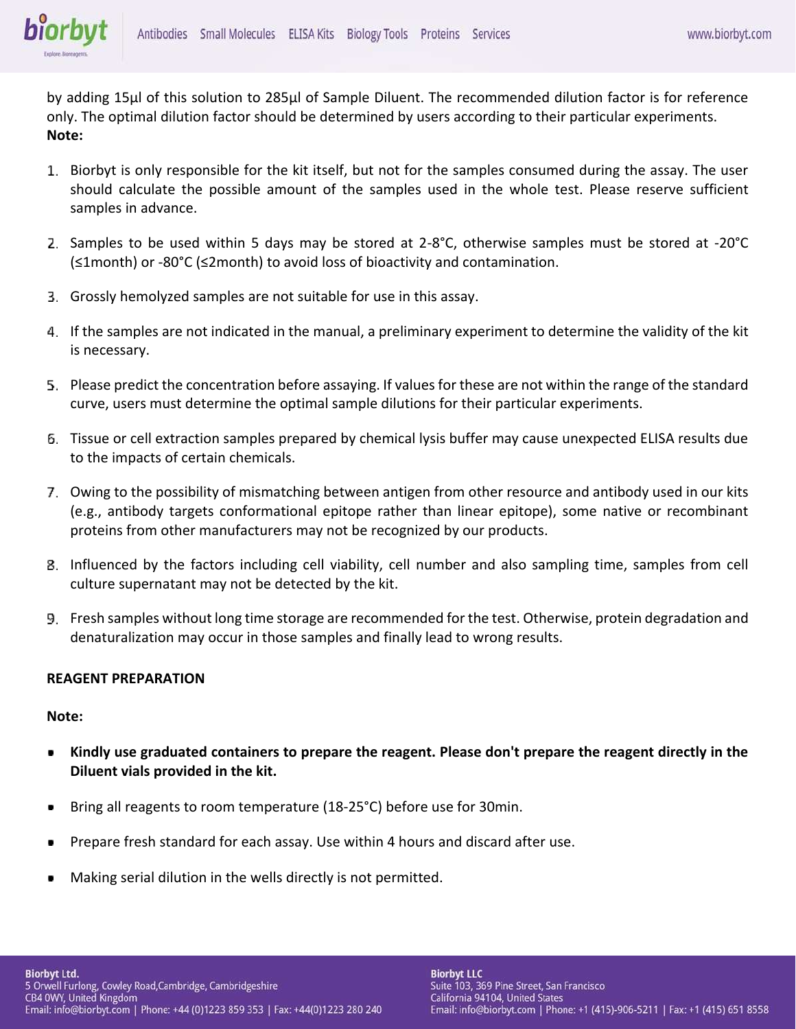

by adding 15μl of this solution to 285μl of Sample Diluent. The recommended dilution factor is for reference only. The optimal dilution factor should be determined by users according to their particular experiments. **Note:**

- 1. Biorbyt is only responsible for the kit itself, but not for the samples consumed during the assay. The user should calculate the possible amount of the samples used in the whole test. Please reserve sufficient samples in advance.
- Samples to be used within 5 days may be stored at 2-8°C, otherwise samples must be stored at -20°C (≤1month) or -80°C (≤2month) to avoid loss of bioactivity and contamination.
- Grossly hemolyzed samples are not suitable for use in this assay.
- If the samples are not indicated in the manual, a preliminary experiment to determine the validity of the kit is necessary.
- Please predict the concentration before assaying. If values for these are not within the range of the standard curve, users must determine the optimal sample dilutions for their particular experiments.
- Tissue or cell extraction samples prepared by chemical lysis buffer may cause unexpected ELISA results due to the impacts of certain chemicals.
- Owing to the possibility of mismatching between antigen from other resource and antibody used in our kits (e.g., antibody targets conformational epitope rather than linear epitope), some native or recombinant proteins from other manufacturers may not be recognized by our products.
- Influenced by the factors including cell viability, cell number and also sampling time, samples from cell culture supernatant may not be detected by the kit.
- Fresh samples without long time storage are recommended for the test. Otherwise, protein degradation and denaturalization may occur in those samples and finally lead to wrong results.

# **REAGENT PREPARATION**

## **Note:**

- **Kindly use graduated containers to prepare the reagent. Please don't prepare the reagent directly in the**  D **Diluent vials provided in the kit.**
- Bring all reagents to room temperature (18-25°C) before use for 30min.
- Prepare fresh standard for each assay. Use within 4 hours and discard after use.
- Making serial dilution in the wells directly is not permitted.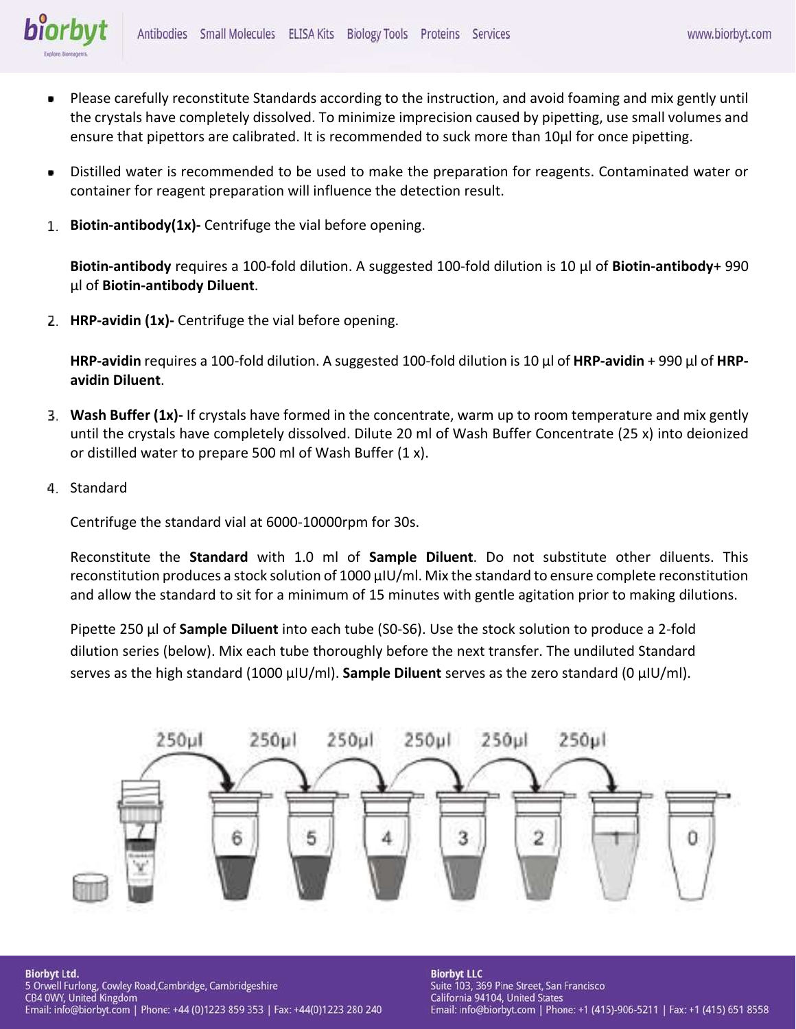

- Please carefully reconstitute Standards according to the instruction, and avoid foaming and mix gently until the crystals have completely dissolved. To minimize imprecision caused by pipetting, use small volumes and ensure that pipettors are calibrated. It is recommended to suck more than 10μl for once pipetting.
- Distilled water is recommended to be used to make the preparation for reagents. Contaminated water or  $\blacksquare$ container for reagent preparation will influence the detection result.
- **Biotin-antibody(1x)-** Centrifuge the vial before opening.

**Biotin-antibody** requires a 100-fold dilution. A suggested 100-fold dilution is 10 μl of **Biotin-antibody**+ 990 μl of **Biotin-antibody Diluent**.

**HRP-avidin (1x)-** Centrifuge the vial before opening.

**HRP-avidin** requires a 100-fold dilution. A suggested 100-fold dilution is 10 μl of **HRP-avidin** + 990 μl of **HRPavidin Diluent**.

- **Wash Buffer (1x)-** If crystals have formed in the concentrate, warm up to room temperature and mix gently until the crystals have completely dissolved. Dilute 20 ml of Wash Buffer Concentrate (25 x) into deionized or distilled water to prepare 500 ml of Wash Buffer (1 x).
- 4. Standard

Centrifuge the standard vial at 6000-10000rpm for 30s.

Reconstitute the **Standard** with 1.0 ml of **Sample Diluent**. Do not substitute other diluents. This reconstitution produces a stock solution of 1000 μIU/ml. Mix the standard to ensure complete reconstitution and allow the standard to sit for a minimum of 15 minutes with gentle agitation prior to making dilutions.

Pipette 250 μl of **Sample Diluent** into each tube (S0-S6). Use the stock solution to produce a 2-fold dilution series (below). Mix each tube thoroughly before the next transfer. The undiluted Standard serves as the high standard (1000 μIU/ml). **Sample Diluent** serves as the zero standard (0 μIU/ml).



**Biorbyt Ltd.** 5 Orwell Furlong, Cowley Road, Cambridge, Cambridgeshire<br>CB4 0WY, United Kingdom Email: info@biorbyt.com | Phone: +44 (0)1223 859 353 | Fax: +44(0)1223 280 240 **Biorbyt LLC** Suite 103, 369 Pine Street, San Francisco California 94104, United States Email: info@biorbyt.com | Phone: +1 (415)-906-5211 | Fax: +1 (415) 651 8558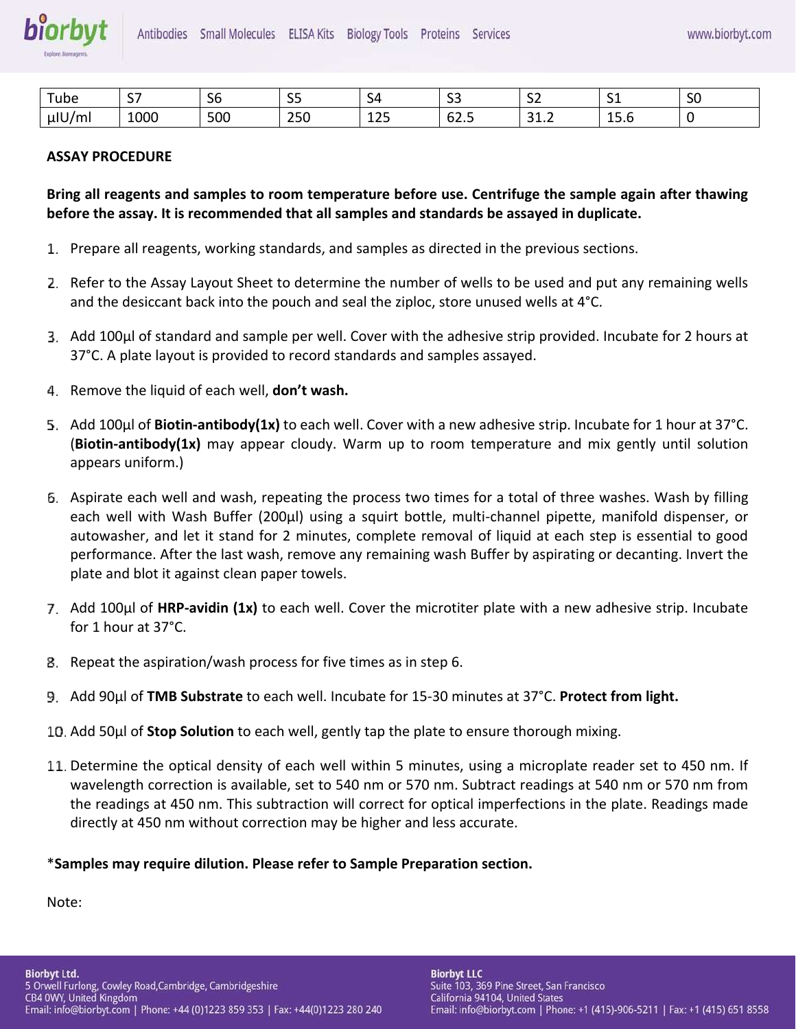| $-$<br>ube  | $\sim$ $-$<br>، ب | - -<br>υc | $\sim$ $\sim$<br>ັ          | 54                               | $\sim$ $\sim$<br>--             | --<br>ັ            | ັ                                                            | $\sim$ $\sim$<br>эu |
|-------------|-------------------|-----------|-----------------------------|----------------------------------|---------------------------------|--------------------|--------------------------------------------------------------|---------------------|
| $\mu$ IU/ml | 1000              | 500       | $\sim$ $\sim$ $\sim$<br>25U | $\sim$ $\sim$ $\sim$<br>ᅩᄼ<br>__ | -<br>$\sim$<br>-<br><b>UZ.J</b> | $\sim$<br>-<br>しょん | $\overline{\phantom{0}}$<br>$\overline{\phantom{a}}$<br>ں کے |                     |

# **ASSAY PROCEDURE**

**Bring all reagents and samples to room temperature before use. Centrifuge the sample again after thawing before the assay. It is recommended that all samples and standards be assayed in duplicate.**

- Prepare all reagents, working standards, and samples as directed in the previous sections.
- 2. Refer to the Assay Layout Sheet to determine the number of wells to be used and put any remaining wells and the desiccant back into the pouch and seal the ziploc, store unused wells at 4°C.
- Add 100μl of standard and sample per well. Cover with the adhesive strip provided. Incubate for 2 hours at 37°C. A plate layout is provided to record standards and samples assayed.
- Remove the liquid of each well, **don't wash.**
- Add 100μl of **Biotin-antibody(1x)** to each well. Cover with a new adhesive strip. Incubate for 1 hour at 37°C. (**Biotin-antibody(1x)** may appear cloudy. Warm up to room temperature and mix gently until solution appears uniform.)
- Aspirate each well and wash, repeating the process two times for a total of three washes. Wash by filling each well with Wash Buffer (200μl) using a squirt bottle, multi-channel pipette, manifold dispenser, or autowasher, and let it stand for 2 minutes, complete removal of liquid at each step is essential to good performance. After the last wash, remove any remaining wash Buffer by aspirating or decanting. Invert the plate and blot it against clean paper towels.
- Add 100μl of **HRP-avidin (1x)** to each well. Cover the microtiter plate with a new adhesive strip. Incubate for 1 hour at 37°C.
- Repeat the aspiration/wash process for five times as in step 6.
- Add 90μl of **TMB Substrate** to each well. Incubate for 15-30 minutes at 37°C. **Protect from light.**
- Add 50μl of **Stop Solution** to each well, gently tap the plate to ensure thorough mixing.
- 11. Determine the optical density of each well within 5 minutes, using a microplate reader set to 450 nm. If wavelength correction is available, set to 540 nm or 570 nm. Subtract readings at 540 nm or 570 nm from the readings at 450 nm. This subtraction will correct for optical imperfections in the plate. Readings made directly at 450 nm without correction may be higher and less accurate.

# \***Samples may require dilution. Please refer to Sample Preparation section.**

Note: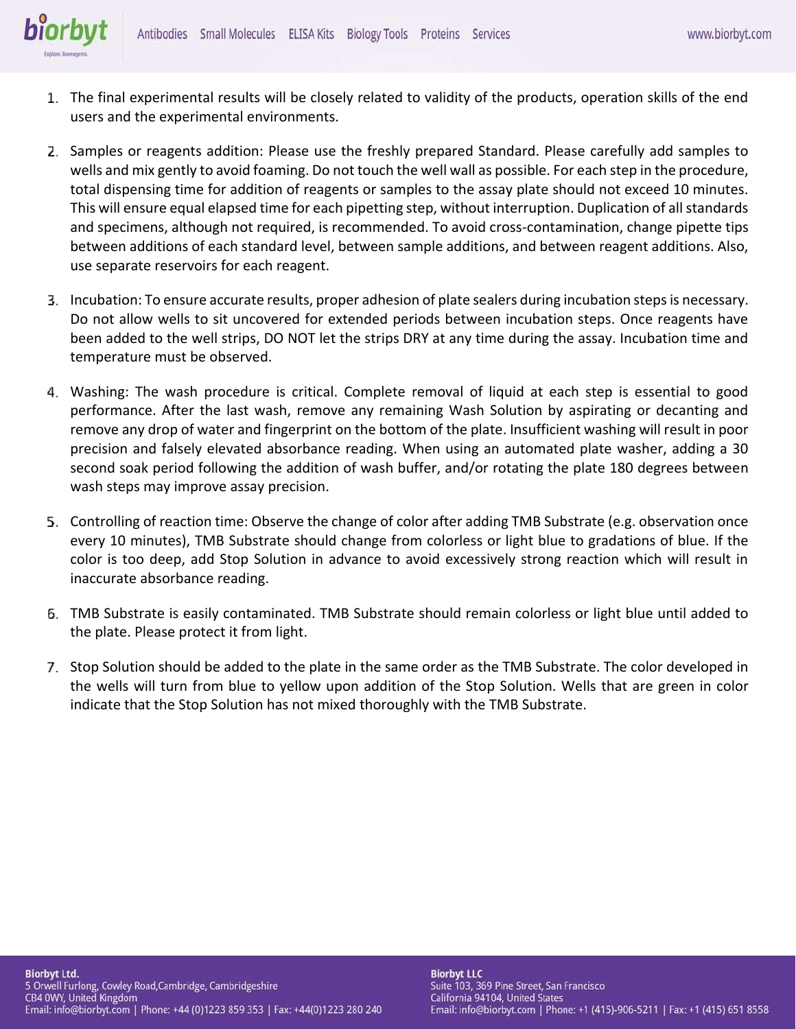- The final experimental results will be closely related to validity of the products, operation skills of the end users and the experimental environments.
- 2. Samples or reagents addition: Please use the freshly prepared Standard. Please carefully add samples to wells and mix gently to avoid foaming. Do not touch the well wall as possible. For each step in the procedure, total dispensing time for addition of reagents or samples to the assay plate should not exceed 10 minutes. This will ensure equal elapsed time for each pipetting step, without interruption. Duplication of all standards and specimens, although not required, is recommended. To avoid cross-contamination, change pipette tips between additions of each standard level, between sample additions, and between reagent additions. Also, use separate reservoirs for each reagent.
- Incubation: To ensure accurate results, proper adhesion of plate sealers during incubation steps is necessary. Do not allow wells to sit uncovered for extended periods between incubation steps. Once reagents have been added to the well strips, DO NOT let the strips DRY at any time during the assay. Incubation time and temperature must be observed.
- Washing: The wash procedure is critical. Complete removal of liquid at each step is essential to good performance. After the last wash, remove any remaining Wash Solution by aspirating or decanting and remove any drop of water and fingerprint on the bottom of the plate. Insufficient washing will result in poor precision and falsely elevated absorbance reading. When using an automated plate washer, adding a 30 second soak period following the addition of wash buffer, and/or rotating the plate 180 degrees between wash steps may improve assay precision.
- Controlling of reaction time: Observe the change of color after adding TMB Substrate (e.g. observation once every 10 minutes), TMB Substrate should change from colorless or light blue to gradations of blue. If the color is too deep, add Stop Solution in advance to avoid excessively strong reaction which will result in inaccurate absorbance reading.
- TMB Substrate is easily contaminated. TMB Substrate should remain colorless or light blue until added to the plate. Please protect it from light.
- Stop Solution should be added to the plate in the same order as the TMB Substrate. The color developed in the wells will turn from blue to yellow upon addition of the Stop Solution. Wells that are green in color indicate that the Stop Solution has not mixed thoroughly with the TMB Substrate.